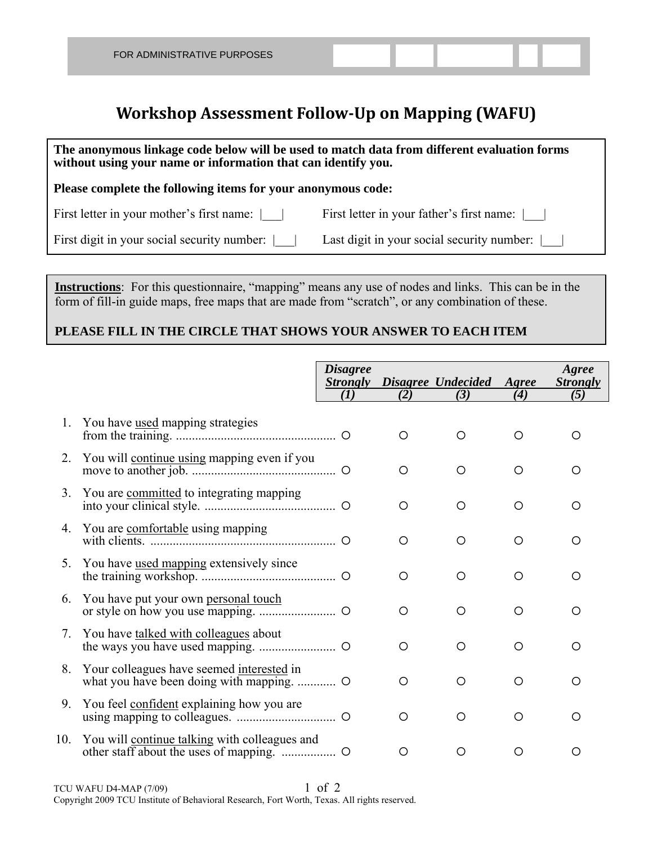## **Workshop Assessment Follow‐Up on Mapping (WAFU)**

| The anonymous linkage code below will be used to match data from different evaluation forms<br>without using your name or information that can identify you. |                                                          |  |  |  |  |  |  |  |
|--------------------------------------------------------------------------------------------------------------------------------------------------------------|----------------------------------------------------------|--|--|--|--|--|--|--|
| Please complete the following items for your anonymous code:                                                                                                 |                                                          |  |  |  |  |  |  |  |
| First letter in your mother's first name:                                                                                                                    | First letter in your father's first name:                |  |  |  |  |  |  |  |
| First digit in your social security number:                                                                                                                  | Last digit in your social security number: $\vert \vert$ |  |  |  |  |  |  |  |

**Instructions**: For this questionnaire, "mapping" means any use of nodes and links. This can be in the form of fill-in guide maps, free maps that are made from "scratch", or any combination of these.

## **PLEASE FILL IN THE CIRCLE THAT SHOWS YOUR ANSWER TO EACH ITEM**

|         |                                                | <b>Disagree</b><br><b>Strongly</b><br>(1) |     | Disagree Undecided | Agree<br>(4) | Agree<br><b>Strongly</b> |
|---------|------------------------------------------------|-------------------------------------------|-----|--------------------|--------------|--------------------------|
|         |                                                |                                           | (2) | (3)                |              | (5)                      |
| 1.      | You have used mapping strategies               |                                           | ◯   | Ω                  | O            | ◯                        |
|         | 2. You will continue using mapping even if you |                                           | O   | O                  | O            | Ο                        |
| 3.      | You are committed to integrating mapping       |                                           | O   | O                  | O            | Ω                        |
| 4.      | You are comfortable using mapping              |                                           | O   | Ο                  | O            | Ο                        |
| $5_{-}$ | You have used mapping extensively since        |                                           | O   | O                  | O            | Ο                        |
| 6.      | You have put your own personal touch           |                                           | O   | $\bigcirc$         | ◯            | Ω                        |
| 7.      | You have talked with colleagues about          |                                           | O   | O                  | O            | Ω                        |
| 8.      | Your colleagues have seemed interested in      |                                           | O   | Ο                  | O            | Ω                        |
| 9.      | You feel confident explaining how you are      |                                           | ◯   | ◯                  | ◯            | Ω                        |
| 10.     | You will continue talking with colleagues and  |                                           | O   | Ω                  | Ω            | Ω                        |